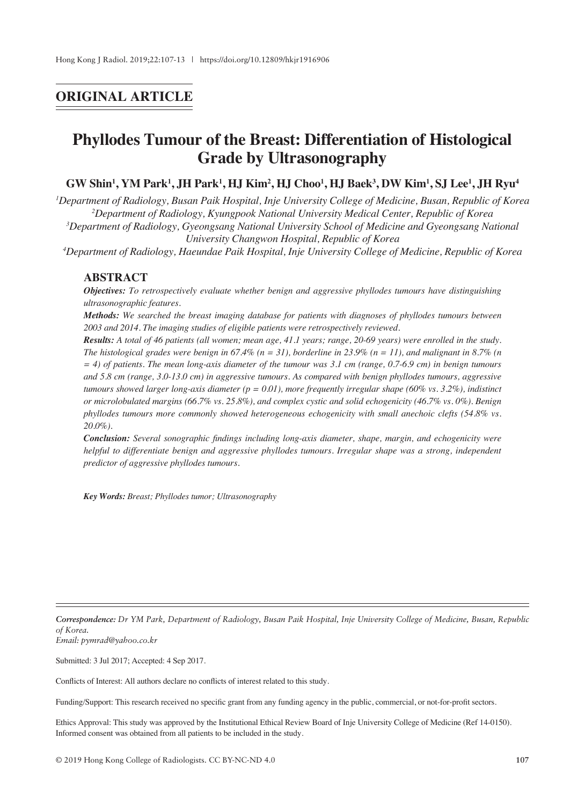## **ORIGINAL ARTICLE**

# **Phyllodes Tumour of the Breast: Differentiation of Histological Grade by Ultrasonography**

### $\bf GW$  Shin<sup>1</sup>, YM Park<sup>1</sup>, JH Park<sup>1</sup>, HJ Kim<sup>2</sup>, HJ Choo<sup>1</sup>, HJ Baek<sup>3</sup>, DW Kim<sup>1</sup>, SJ Lee<sup>1</sup>, JH Ryu<sup>4</sup>

*1 Department of Radiology, Busan Paik Hospital, Inje University College of Medicine, Busan, Republic of Korea 2 Department of Radiology, Kyungpook National University Medical Center, Republic of Korea*

*3 Department of Radiology, Gyeongsang National University School of Medicine and Gyeongsang National University Changwon Hospital, Republic of Korea*

*4 Department of Radiology, Haeundae Paik Hospital, Inje University College of Medicine, Republic of Korea*

#### **ABSTRACT**

*Objectives: To retrospectively evaluate whether benign and aggressive phyllodes tumours have distinguishing ultrasonographic features.*

*Methods: We searched the breast imaging database for patients with diagnoses of phyllodes tumours between 2003 and 2014. The imaging studies of eligible patients were retrospectively reviewed.*

*Results: A total of 46 patients (all women; mean age, 41.1 years; range, 20-69 years) were enrolled in the study. The histological grades were benign in 67.4% (n = 31), borderline in 23.9% (n = 11), and malignant in 8.7% (n = 4) of patients. The mean long-axis diameter of the tumour was 3.1 cm (range, 0.7-6.9 cm) in benign tumours and 5.8 cm (range, 3.0-13.0 cm) in aggressive tumours. As compared with benign phyllodes tumours, aggressive tumours showed larger long-axis diameter (p = 0.01), more frequently irregular shape (60% vs. 3.2%), indistinct or microlobulated margins (66.7% vs. 25.8%), and complex cystic and solid echogenicity (46.7% vs. 0%). Benign phyllodes tumours more commonly showed heterogeneous echogenicity with small anechoic clefts (54.8% vs. 20.0%).*

*Conclusion: Several sonographic findings including long-axis diameter, shape, margin, and echogenicity were helpful to differentiate benign and aggressive phyllodes tumours. Irregular shape was a strong, independent predictor of aggressive phyllodes tumours.*

*Key Words: Breast; Phyllodes tumor; Ultrasonography*

*Correspondence: Dr YM Park, Department of Radiology, Busan Paik Hospital, Inje University College of Medicine, Busan, Republic of Korea. Email: pymrad@yahoo.co.kr*

Submitted: 3 Jul 2017; Accepted: 4 Sep 2017.

Conflicts of Interest: All authors declare no conflicts of interest related to this study.

Funding/Support: This research received no specific grant from any funding agency in the public, commercial, or not-for-profit sectors.

Ethics Approval: This study was approved by the Institutional Ethical Review Board of Inje University College of Medicine (Ref 14-0150). Informed consent was obtained from all patients to be included in the study.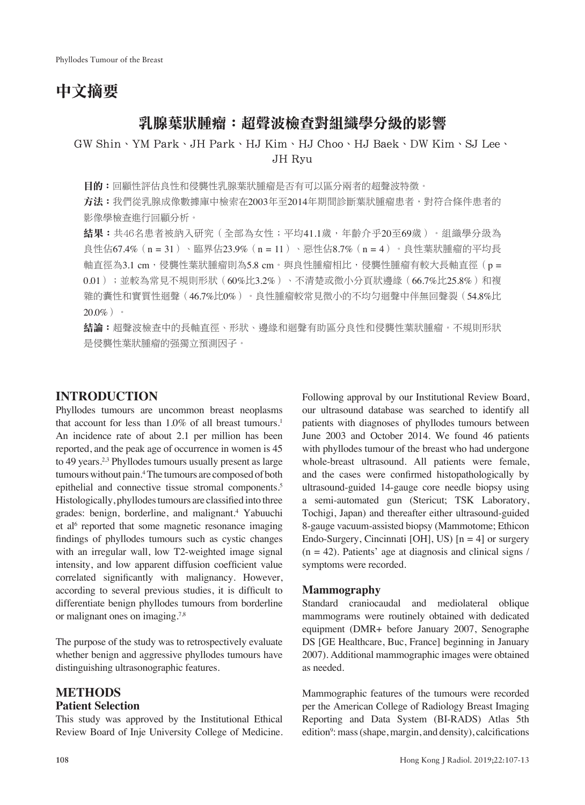# 中文摘要

## 乳腺葉狀腫瘤:超聲波檢查對組織學分級的影響

GW Shin、YM Park、JH Park、HJ Kim、HJ Choo、HJ Baek、DW Kim、SJ Lee、 JH Ryu

**目的:**回顧性評估良性和侵襲性乳腺葉狀腫瘤是否有可以區分兩者的超聲波特徵。

方法:我們從乳腺成像數據庫中檢索在2003年至2014年期間診斷葉狀腫瘤患者,對符合條件患者的 影像學檢查進行回顧分析。

結果:共46名患者被納入研究(全部為女性;平均41.1歲,年齡介乎20至69歲)。組織學分級為 良性佔67.4%(n = 31)、臨界佔23.9%(n = 11)、惡性佔8.7%(n = 4)。良性葉狀腫瘤的平均長 軸直徑為3.1 cm, 侵襲性葉狀腫瘤則為5.8 cm。與良性腫瘤相比,侵襲性腫瘤有較大長軸直徑 (p = 0.01);並較為常見不規則形狀(60%比3.2%)、不清楚或微小分頁狀邊緣(66.7%比25.8%)和複 雜的囊性和實質性迴聲(46.7%比0%)。良性腫瘤較常見微小的不均勻迴聲中伴無回聲裂(54.8%比  $20.0\%$ )。

**結論:**超聲波檢查中的長軸直徑、形狀、邊緣和迴聲有助區分良性和侵襲性葉狀腫瘤。不規則形狀 是侵襲性葉狀腫瘤的强獨立預測因子。

## **INTRODUCTION**

Phyllodes tumours are uncommon breast neoplasms that account for less than  $1.0\%$  of all breast tumours.<sup>1</sup> An incidence rate of about 2.1 per million has been reported, and the peak age of occurrence in women is 45 to 49 years.<sup>2,3</sup> Phyllodes tumours usually present as large tumours without pain.4 The tumours are composed of both epithelial and connective tissue stromal components.<sup>5</sup> Histologically, phyllodes tumours are classified into three grades: benign, borderline, and malignant.4 Yabuuchi et al<sup>6</sup> reported that some magnetic resonance imaging findings of phyllodes tumours such as cystic changes with an irregular wall, low T2-weighted image signal intensity, and low apparent diffusion coefficient value correlated significantly with malignancy. However, according to several previous studies, it is difficult to differentiate benign phyllodes tumours from borderline or malignant ones on imaging.7,8

The purpose of the study was to retrospectively evaluate whether benign and aggressive phyllodes tumours have distinguishing ultrasonographic features.

## **METHODS**

#### **Patient Selection**

This study was approved by the Institutional Ethical Review Board of Inje University College of Medicine. Following approval by our Institutional Review Board, our ultrasound database was searched to identify all patients with diagnoses of phyllodes tumours between June 2003 and October 2014. We found 46 patients with phyllodes tumour of the breast who had undergone whole-breast ultrasound. All patients were female, and the cases were confirmed histopathologically by ultrasound-guided 14-gauge core needle biopsy using a semi-automated gun (Stericut; TSK Laboratory, Tochigi, Japan) and thereafter either ultrasound-guided 8-gauge vacuum-assisted biopsy (Mammotome; Ethicon Endo-Surgery, Cincinnati [OH], US)  $[n = 4]$  or surgery  $(n = 42)$ . Patients' age at diagnosis and clinical signs / symptoms were recorded.

#### **Mammography**

Standard craniocaudal and mediolateral oblique mammograms were routinely obtained with dedicated equipment (DMR+ before January 2007, Senographe DS [GE Healthcare, Buc, France] beginning in January 2007). Additional mammographic images were obtained as needed.

Mammographic features of the tumours were recorded per the American College of Radiology Breast Imaging Reporting and Data System (BI-RADS) Atlas 5th edition<sup>9</sup>: mass (shape, margin, and density), calcifications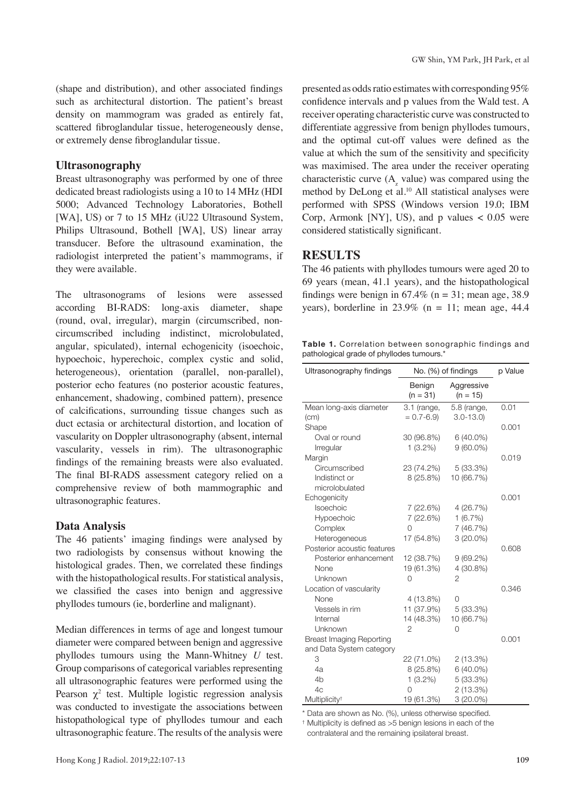(shape and distribution), and other associated findings such as architectural distortion. The patient's breast density on mammogram was graded as entirely fat, scattered fibroglandular tissue, heterogeneously dense, or extremely dense fibroglandular tissue.

#### **Ultrasonography**

Breast ultrasonography was performed by one of three dedicated breast radiologists using a 10 to 14 MHz (HDI 5000; Advanced Technology Laboratories, Bothell [WA], US) or 7 to 15 MHz (iU22 Ultrasound System, Philips Ultrasound, Bothell [WA], US) linear array transducer. Before the ultrasound examination, the radiologist interpreted the patient's mammograms, if they were available.

The ultrasonograms of lesions were assessed according BI-RADS: long-axis diameter, shape (round, oval, irregular), margin (circumscribed, noncircumscribed including indistinct, microlobulated, angular, spiculated), internal echogenicity (isoechoic, hypoechoic, hyperechoic, complex cystic and solid, heterogeneous), orientation (parallel, non-parallel), posterior echo features (no posterior acoustic features, enhancement, shadowing, combined pattern), presence of calcifications, surrounding tissue changes such as duct ectasia or architectural distortion, and location of vascularity on Doppler ultrasonography (absent, internal vascularity, vessels in rim). The ultrasonographic findings of the remaining breasts were also evaluated. The final BI-RADS assessment category relied on a comprehensive review of both mammographic and ultrasonographic features.

#### **Data Analysis**

The 46 patients' imaging findings were analysed by two radiologists by consensus without knowing the histological grades. Then, we correlated these findings with the histopathological results. For statistical analysis, we classified the cases into benign and aggressive phyllodes tumours (ie, borderline and malignant).

Median differences in terms of age and longest tumour diameter were compared between benign and aggressive phyllodes tumours using the Mann-Whitney *U* test. Group comparisons of categorical variables representing all ultrasonographic features were performed using the Pearson  $\chi^2$  test. Multiple logistic regression analysis was conducted to investigate the associations between histopathological type of phyllodes tumour and each ultrasonographic feature. The results of the analysis were

presented as odds ratio estimates with corresponding 95% confidence intervals and p values from the Wald test. A receiver operating characteristic curve was constructed to differentiate aggressive from benign phyllodes tumours, and the optimal cut-off values were defined as the value at which the sum of the sensitivity and specificity was maximised. The area under the receiver operating characteristic curve  $(A<sub>z</sub>$  value) was compared using the method by DeLong et al.<sup>10</sup> All statistical analyses were performed with SPSS (Windows version 19.0; IBM Corp, Armonk [NY], US), and p values  $< 0.05$  were considered statistically significant.

#### **RESULTS**

The 46 patients with phyllodes tumours were aged 20 to 69 years (mean, 41.1 years), and the histopathological findings were benign in  $67.4\%$  (n = 31; mean age, 38.9) years), borderline in  $23.9\%$  (n = 11; mean age, 44.4

**Table 1.** Correlation between sonographic findings and pathological grade of phyllodes tumours.\*

| Ultrasonography findings        | No. (%) of findings  | p Value                  |       |
|---------------------------------|----------------------|--------------------------|-------|
|                                 | Benign<br>$(n = 31)$ | Aggressive<br>$(n = 15)$ |       |
| Mean long-axis diameter         | $3.1$ (range,        | 5.8 (range,              | 0.01  |
| (cm)                            | $= 0.7 - 6.9$        | $3.0 - 13.0$             |       |
| Shape                           |                      |                          | 0.001 |
| Oval or round                   | 30 (96.8%)           | $6(40.0\%)$              |       |
| Irregular                       | $1(3.2\%)$           | $9(60.0\%)$              |       |
| Margin                          |                      |                          | 0.019 |
| Circumscribed                   | 23 (74.2%)           | 5(33.3%)                 |       |
| Indistinct or                   | 8 (25.8%)            | 10 (66.7%)               |       |
| microlobulated                  |                      |                          |       |
| Echogenicity                    |                      |                          | 0.001 |
| Isoechoic                       | 7 (22.6%)            | 4 (26.7%)                |       |
| Hypoechoic                      | 7 (22.6%)            | 1(6.7%)                  |       |
| Complex                         | Ω                    | 7 (46.7%)                |       |
| Heterogeneous                   | 17 (54.8%)           | $3(20.0\%)$              |       |
| Posterior acoustic features     |                      |                          | 0.608 |
| Posterior enhancement           | 12 (38.7%)           | $9(69.2\%)$              |       |
| None                            | 19 (61.3%)           | 4 (30.8%)                |       |
| Unknown                         | O                    | 2                        |       |
| Location of vascularity         |                      |                          | 0.346 |
| None                            | 4 (13.8%)            | $\Omega$                 |       |
| Vessels in rim                  | 11 (37.9%)           | 5(33.3%)                 |       |
| Internal                        | 14 (48.3%)           | 10 (66.7%)               |       |
| Unknown                         | $\overline{2}$       | $\Omega$                 |       |
| <b>Breast Imaging Reporting</b> |                      |                          | 0.001 |
| and Data System category        |                      |                          |       |
| 3                               | 22 (71.0%)           | 2(13.3%)                 |       |
| 4a                              | 8 (25.8%)            | 6 (40.0%)                |       |
| 4 <sub>b</sub>                  | $1(3.2\%)$           | 5(33.3%)                 |       |
| 4c                              | O                    | 2 (13.3%)                |       |
| Multiplicity <sup>+</sup>       | 19 (61.3%)           | 3 (20.0%)                |       |

\* Data are shown as No. (%), unless otherwise specified.

† Multiplicity is defined as >5 benign lesions in each of the contralateral and the remaining ipsilateral breast.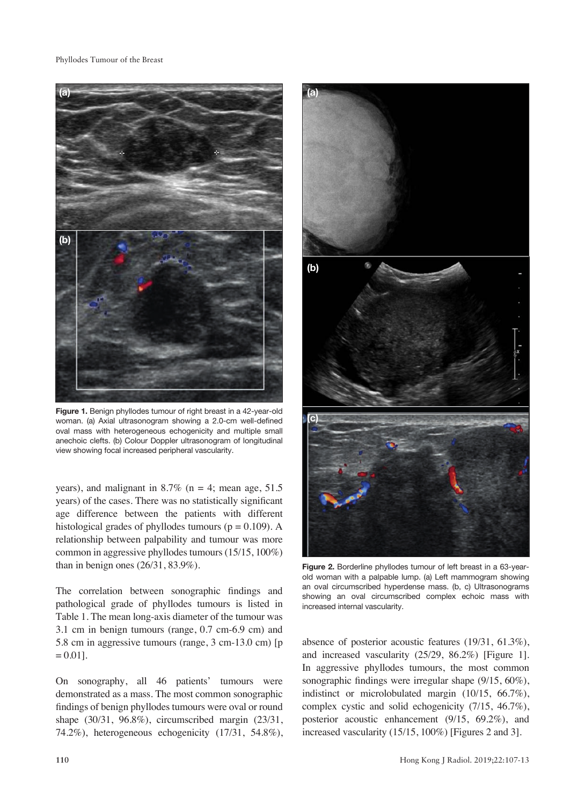#### Phyllodes Tumour of the Breast



Figure 1. Benign phyllodes tumour of right breast in a 42-vear-old woman. (a) Axial ultrasonogram showing a 2.0-cm well-defined oval mass with heterogeneous echogenicity and multiple small anechoic clefts. (b) Colour Doppler ultrasonogram of longitudinal view showing focal increased peripheral vascularity.

years), and malignant in 8.7% ( $n = 4$ ; mean age, 51.5) years) of the cases. There was no statistically significant age difference between the patients with different histological grades of phyllodes tumours ( $p = 0.109$ ). A relationship between palpability and tumour was more common in aggressive phyllodes tumours (15/15, 100%) than in benign ones (26/31, 83.9%).

The correlation between sonographic findings and pathological grade of phyllodes tumours is listed in Table 1. The mean long-axis diameter of the tumour was 3.1 cm in benign tumours (range, 0.7 cm-6.9 cm) and 5.8 cm in aggressive tumours (range, 3 cm-13.0 cm) [p  $= 0.01$ ].

On sonography, all 46 patients' tumours were demonstrated as a mass. The most common sonographic findings of benign phyllodes tumours were oval or round shape (30/31, 96.8%), circumscribed margin (23/31, 74.2%), heterogeneous echogenicity (17/31, 54.8%),



**Figure 2.** Borderline phyllodes tumour of left breast in a 63-yearold woman with a palpable lump. (a) Left mammogram showing an oval circumscribed hyperdense mass. (b, c) Ultrasonograms showing an oval circumscribed complex echoic mass with increased internal vascularity.

absence of posterior acoustic features (19/31, 61.3%), and increased vascularity (25/29, 86.2%) [Figure 1]. In aggressive phyllodes tumours, the most common sonographic findings were irregular shape (9/15, 60%), indistinct or microlobulated margin (10/15, 66.7%), complex cystic and solid echogenicity (7/15, 46.7%), posterior acoustic enhancement (9/15, 69.2%), and increased vascularity (15/15, 100%) [Figures 2 and 3].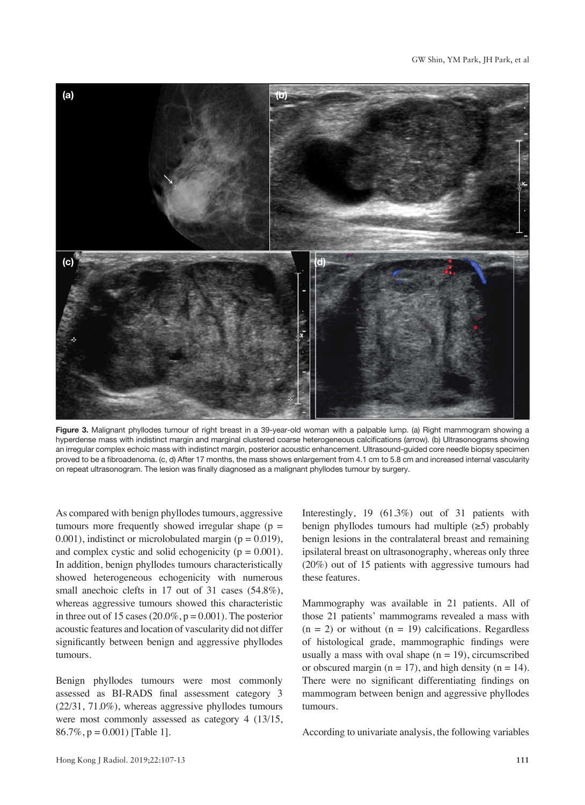

**Figure 3.** Malignant phyllodes tumour of right breast in a 39-year-old woman with a palpable lump. (a) Right mammogram showing a hyperdense mass with indistinct margin and marginal clustered coarse heterogeneous calcifications (arrow). (b) Ultrasonograms showing an irregular complex echoic mass with indistinct margin, posterior acoustic enhancement. Ultrasound-guided core needle biopsy specimen proved to be a fibroadenoma. (c, d) After 17 months, the mass shows enlargement from 4.1 cm to 5.8 cm and increased internal vascularity on repeat ultrasonogram. The lesion was finally diagnosed as a malignant phyllodes tumour by surgery.

As compared with benign phyllodes tumours, aggressive tumours more frequently showed irregular shape  $(p =$ 0.001), indistinct or microlobulated margin ( $p = 0.019$ ), and complex cystic and solid echogenicity ( $p = 0.001$ ). In addition, benign phyllodes tumours characteristically showed heterogeneous echogenicity with numerous small anechoic clefts in 17 out of 31 cases (54.8%), whereas aggressive tumours showed this characteristic in three out of 15 cases  $(20.0\%, p = 0.001)$ . The posterior acoustic features and location of vascularity did not differ significantly between benign and aggressive phyllodes tumours.

Benign phyllodes tumours were most commonly assessed as BI-RADS final assessment category 3 (22/31, 71.0%), whereas aggressive phyllodes tumours were most commonly assessed as category 4 (13/15, 86.7%,  $p = 0.001$  [Table 1].

Interestingly, 19 (61.3%) out of 31 patients with benign phyllodes tumours had multiple  $(\geq 5)$  probably benign lesions in the contralateral breast and remaining ipsilateral breast on ultrasonography, whereas only three (20%) out of 15 patients with aggressive tumours had these features.

Mammography was available in 21 patients. All of those 21 patients' mammograms revealed a mass with  $(n = 2)$  or without  $(n = 19)$  calcifications. Regardless of histological grade, mammographic findings were usually a mass with oval shape  $(n = 19)$ , circumscribed or obscured margin ( $n = 17$ ), and high density ( $n = 14$ ). There were no significant differentiating findings on mammogram between benign and aggressive phyllodes tumours.

According to univariate analysis, the following variables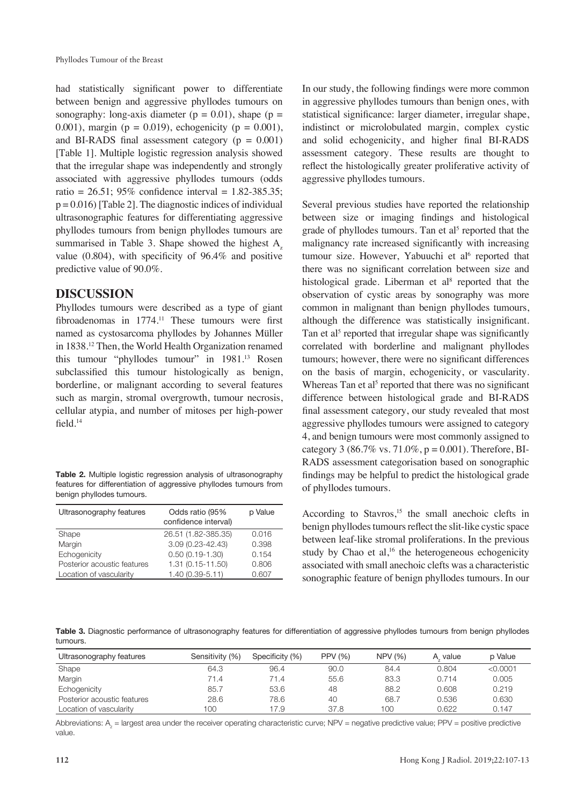had statistically significant power to differentiate between benign and aggressive phyllodes tumours on sonography: long-axis diameter ( $p = 0.01$ ), shape ( $p =$ 0.001), margin ( $p = 0.019$ ), echogenicity ( $p = 0.001$ ), and BI-RADS final assessment category ( $p = 0.001$ ) [Table 1]. Multiple logistic regression analysis showed that the irregular shape was independently and strongly associated with aggressive phyllodes tumours (odds ratio = 26.51; 95% confidence interval = 1.82-385.35;  $p = 0.016$  [Table 2]. The diagnostic indices of individual ultrasonographic features for differentiating aggressive phyllodes tumours from benign phyllodes tumours are summarised in Table 3. Shape showed the highest  $A<sub>z</sub>$ value (0.804), with specificity of 96.4% and positive predictive value of 90.0%.

## **DISCUSSION**

Phyllodes tumours were described as a type of giant fibroadenomas in 1774.<sup>11</sup> These tumours were first named as cystosarcoma phyllodes by Johannes Müller in 1838.12 Then, the World Health Organization renamed this tumour "phyllodes tumour" in 1981.13 Rosen subclassified this tumour histologically as benign, borderline, or malignant according to several features such as margin, stromal overgrowth, tumour necrosis, cellular atypia, and number of mitoses per high-power field.<sup>14</sup>

| <b>Table 2.</b> Multiple logistic regression analysis of ultrasonography |
|--------------------------------------------------------------------------|
| features for differentiation of aggressive phyllodes tumours from        |
| benign phyllodes tumours.                                                |

| Ultrasonography features    | Odds ratio (95%<br>confidence interval) | p Value |
|-----------------------------|-----------------------------------------|---------|
| Shape                       | 26.51 (1.82-385.35)                     | 0.016   |
| Margin                      | 3.09 (0.23-42.43)                       | 0.398   |
| Echogenicity                | $0.50(0.19 - 1.30)$                     | 0.154   |
| Posterior acoustic features | 1.31 (0.15-11.50)                       | 0.806   |
| Location of vascularity     | $1.40(0.39 - 5.11)$                     | 0.607   |

In our study, the following findings were more common in aggressive phyllodes tumours than benign ones, with statistical significance: larger diameter, irregular shape, indistinct or microlobulated margin, complex cystic and solid echogenicity, and higher final BI-RADS assessment category. These results are thought to reflect the histologically greater proliferative activity of aggressive phyllodes tumours.

Several previous studies have reported the relationship between size or imaging findings and histological grade of phyllodes tumours. Tan et al<sup>5</sup> reported that the malignancy rate increased significantly with increasing tumour size. However, Yabuuchi et al<sup>6</sup> reported that there was no significant correlation between size and histological grade. Liberman et al<sup>8</sup> reported that the observation of cystic areas by sonography was more common in malignant than benign phyllodes tumours, although the difference was statistically insignificant. Tan et al<sup>5</sup> reported that irregular shape was significantly correlated with borderline and malignant phyllodes tumours; however, there were no significant differences on the basis of margin, echogenicity, or vascularity. Whereas Tan et  $al<sup>5</sup>$  reported that there was no significant difference between histological grade and BI-RADS final assessment category, our study revealed that most aggressive phyllodes tumours were assigned to category 4, and benign tumours were most commonly assigned to category 3 (86.7% vs. 71.0%,  $p = 0.001$ ). Therefore, BI-RADS assessment categorisation based on sonographic findings may be helpful to predict the histological grade of phyllodes tumours.

According to Stavros, $15$  the small anechoic clefts in benign phyllodes tumours reflect the slit-like cystic space between leaf-like stromal proliferations. In the previous study by Chao et al, $16$  the heterogeneous echogenicity associated with small anechoic clefts was a characteristic sonographic feature of benign phyllodes tumours. In our

Table 3. Diagnostic performance of ultrasonography features for differentiation of aggressive phyllodes tumours from benign phyllodes tumours.

| Ultrasonography features    | Sensitivity (%) | Specificity (%) | <b>PPV (%)</b> | <b>NPV (%)</b> | value<br>А | p Value  |
|-----------------------------|-----------------|-----------------|----------------|----------------|------------|----------|
| Shape                       | 64.3            | 96.4            | 90.0           | 84.4           | 0.804      | < 0.0001 |
| Margin                      | 71.4            | 71.4            | 55.6           | 83.3           | 0.714      | 0.005    |
| Echogenicity                | 85.7            | 53.6            | 48             | 88.2           | 0.608      | 0.219    |
| Posterior acoustic features | 28.6            | 78.6            | 40             | 68.7           | 0.536      | 0.630    |
| Location of vascularity     | 100             | 17.9            | 37.8           | 100            | 0.622      | 0.147    |

Abbreviations:  $A_z$  = largest area under the receiver operating characteristic curve; NPV = negative predictive value; PPV = positive predictive value.